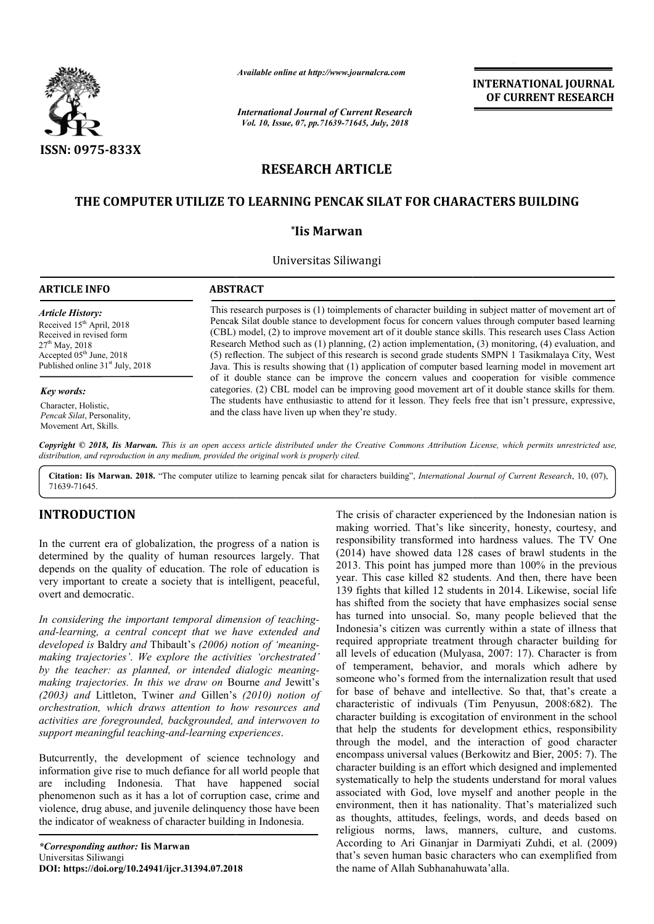

*Available online at http://www.journalcra.com*

*International Journal of Current Research Vol. 10, Issue, 07, pp.71639-71645, July, 2018*

**INTERNATIONAL JOURNAL OF CURRENT RESEARCH**

# **RESEARCH ARTICLE**

# **THE COMPUTER UTILIZE TO LEARNING PENCAK SILAT FOR CHARACTERS BUILDING FOR CHARACTERS**

# **\*Iis Marwan**

Universitas Siliwangi

#### **ARTICLE INFO ABSTRACT**

*Article History:* Received 15<sup>th</sup> April, 2018 Received in revised form 27th May, 2018 Accepted  $05<sup>th</sup>$  June, 2018 Published online 31<sup>st</sup> July, 2018

#### *Key words:*

Character, Holistic, *Pencak Silat*, Personality, Movement Art, Skills.

This research purposes is (1) toimplements of character building in subject matter of movement art of Pencak Silat double stance to development focus for concern values through computer based learning (CBL) model, (2) to improve movement art of it double stance skills. Research Method such as (1) planning, (2) action implementation, (3) monitoring, (4) evaluation, and (5) reflection. The subject of this research is second grade students SMPN 1 Tasikmalaya City, West Java. This is results showing that (1) application of computer based learning model in movement art of it double stance can be improve the concern values and cooperation for visible commence Research Method such as (1) planning, (2) action implementation, (3) monitoring, (4) evaluation, and (5) reflection. The subject of this research is second grade students SMPN 1 Tasikmalaya City, West Java. This is results This research purposes is (1) toimplements of character building in subject matter of movement art of<br>Pencak Silat double stance to development focus for concern values through computer based learning<br>(CBL) model, (2) to i

The students have enthusiastic to attend for it lesson. They feels free that isn't pressure, expressive,

Copyright © 2018, Iis Marwan. This is an open access article distributed under the Creative Commons Attribution License, which permits unrestricted use, *distribution, and reproduction in any medium, provided the original work is properly cited.*

and the class have liven up when they're study.

Citation: Iis Marwan. 2018. "The computer utilize to learning pencak silat for characters building", *International Journal of Current Research*, 10, (07), 71639-71645.

# **INTRODUCTION**

In the current era of globalization, the progress of a nation is determined by the quality of human resources largely. That depends on the quality of education. The role of education is very important to create a society that is intelligent, peaceful, overt and democratic.

*In considering the important temporal dimension of teaching teachingand-learning, a central concept that we have extended and developed is* Baldry *and* Thibault's *(2006) notion of 'meaning 'meaningmaking trajectories'*. *We explore the activities 'orchestrated' by the teacher: as planned, or intended dialogic meaning meaningmaking trajectories. In this we draw on* Bourne *and* Jewitt's *(2003) and* Littleton, Twiner *and* Gillen's *(2010) notion of orchestration, which draws attention to how resources and activities are foregrounded, backgrounded, and interwoven to*  support meaningful teaching-and-learning experiences.

Butcurrently, the development of science technology and information give rise to much defiance for all world people that are including Indonesia. That have happened social phenomenon such as it has a lot of corruption case, crime and violence, drug abuse, and juvenile delinquency those have been the indicator of weakness of character building in Indonesia.

The crisis of character experienced by<br>
responsibility transformed into hard resources largely. That (2014) have showed data 128 cases<br>
The role of education is 2013. This point has jumped more that<br>
it is intelligent, pea making worried. That's like sincerity, honesty, courtesy, and making worried. That's like sincerity, honesty, courtesy, and<br>responsibility transformed into hardness values. The TV One (2014) have showed data 128 cases of brawl students in the  $(2014)$  have showed data 128 cases of brawl students in the  $2013$ . This point has jumped more than  $100\%$  in the previous year. This case killed 82 students. And then, there have been 139 fights that killed 12 students in 2014. Likewise, social life has shifted from the society that have emphasizes social sense has turned into unsocial. So, many people believed that the has shifted from the society that have emphasizes social sense has turned into unsocial. So, many people believed that the Indonesia's citizen was currently within a state of illness that required appropriate treatment through character building for all levels of education (Mulyasa, 2007: 17). Character is from of temperament, behavior, and morals which adhere by someone who's formed from the internalization result that used for base of behave and intellective. So that, that's create a characteristic of indivuals (Tim Penyusun, 2008:682) character building is excogitation of environment in the school that help the students for development ethics, responsibility through the model, and the interaction of good character character building is excogitation of environment in the school<br>that help the students for development ethics, responsibility<br>through the model, and the interaction of good character<br>encompass universal values (Berkowitz a character building is an effort which designed and implemented systematically to help the students understand for moral values associated with God, love myself and another people in the environment, then it has nationality. That's materialized such as thoughts, attitudes, feelings, words, and deeds based on religious norms, laws, manners, culture, and customs. According to Ari Ginanjar in Darmiyati Zuhdi, et al. (2009) that's seven human basic characters who can exemplified from the name of Allah Subhanahuwata'alla. The crisis of character experienced by the Indonesian nation is ment, behavior, and morals which adhere by<br>b's formed from the internalization result that used<br>behave and intellective. So that, that's create a<br>c of indivuals (Tim Penyusun, 2008:682). The systematically to help the students understand for moral values<br>associated with God, love myself and another people in the<br>environment, then it has nationality. That's materialized such<br>as thoughts, attitudes, feelings, wo **EXERCTI THE VALUAT ANTIFIGRAT TONAL SURFARIAT (THE ANTIFIGRAT THE AND CONDUCT THE AND CONDUCT THE AND CONDUCT CONDUCT THE SUBARUM (THE SUBARUM CONDUCT) (SUBARUM THE ANTIFIGRATION (C) A paintimetric for a second grade soli**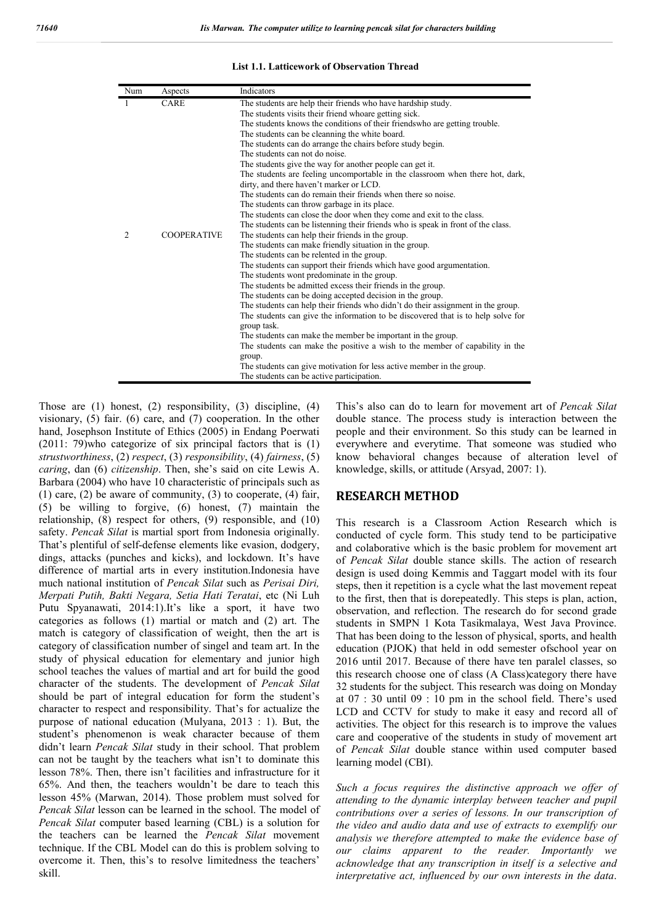#### **List 1.1. Latticework of Observation Thread**

| Num | Aspects            | Indicators                                                                                                                                                                                                                                                                                                                                                                                                                                                                                                                                                                                                                                                                                                                                                    |
|-----|--------------------|---------------------------------------------------------------------------------------------------------------------------------------------------------------------------------------------------------------------------------------------------------------------------------------------------------------------------------------------------------------------------------------------------------------------------------------------------------------------------------------------------------------------------------------------------------------------------------------------------------------------------------------------------------------------------------------------------------------------------------------------------------------|
|     | <b>CARE</b>        | The students are help their friends who have hardship study.<br>The students visits their friend whoare getting sick.<br>The students knows the conditions of their friends who are getting trouble.<br>The students can be cleanning the white board.<br>The students can do arrange the chairs before study begin.<br>The students can not do noise.<br>The students give the way for another people can get it.<br>The students are feeling uncomportable in the classroom when there hot, dark,<br>dirty, and there haven't marker or LCD.<br>The students can do remain their friends when there so noise.                                                                                                                                               |
|     |                    | The students can throw garbage in its place.<br>The students can close the door when they come and exit to the class.                                                                                                                                                                                                                                                                                                                                                                                                                                                                                                                                                                                                                                         |
|     |                    | The students can be listenning their friends who is speak in front of the class.                                                                                                                                                                                                                                                                                                                                                                                                                                                                                                                                                                                                                                                                              |
| 2   | <b>COOPERATIVE</b> | The students can help their friends in the group.<br>The students can make friendly situation in the group.<br>The students can be relented in the group.<br>The students can support their friends which have good argumentation.<br>The students wont predominate in the group.<br>The students be admitted excess their friends in the group.<br>The students can be doing accepted decision in the group.<br>The students can help their friends who didn't do their assignment in the group.<br>The students can give the information to be discovered that is to help solve for<br>group task.<br>The students can make the member be important in the group.<br>The students can make the positive a wish to the member of capability in the<br>group. |
|     |                    | The students can give motivation for less active member in the group.<br>The students can be active participation.                                                                                                                                                                                                                                                                                                                                                                                                                                                                                                                                                                                                                                            |

Those are (1) honest, (2) responsibility, (3) discipline, (4) visionary, (5) fair. (6) care, and (7) cooperation. In the other hand, Josephson Institute of Ethics (2005) in Endang Poerwati (2011: 79)who categorize of six principal factors that is (1) *strustworthiness*, (2) *respect*, (3) *responsibility*, (4) *fairness*, (5) *caring*, dan (6) *citizenship*. Then, she's said on cite Lewis A. Barbara (2004) who have 10 characteristic of principals such as  $(1)$  care,  $(2)$  be aware of community,  $(3)$  to cooperate,  $(4)$  fair, (5) be willing to forgive, (6) honest, (7) maintain the relationship, (8) respect for others, (9) responsible, and (10) safety. *Pencak Silat* is martial sport from Indonesia originally. That's plentiful of self-defense elements like evasion, dodgery, dings, attacks (punches and kicks), and lockdown. It's have difference of martial arts in every institution.Indonesia have much national institution of *Pencak Silat* such as *Perisai Diri, Merpati Putih, Bakti Negara, Setia Hati Teratai*, etc (Ni Luh Putu Spyanawati, 2014:1).It's like a sport, it have two categories as follows (1) martial or match and (2) art. The match is category of classification of weight, then the art is category of classification number of singel and team art. In the study of physical education for elementary and junior high school teaches the values of martial and art for build the good character of the students. The development of *Pencak Silat* should be part of integral education for form the student's character to respect and responsibility. That's for actualize the purpose of national education (Mulyana, 2013 : 1). But, the student's phenomenon is weak character because of them didn't learn *Pencak Silat* study in their school. That problem can not be taught by the teachers what isn't to dominate this lesson 78%. Then, there isn't facilities and infrastructure for it 65%. And then, the teachers wouldn't be dare to teach this lesson 45% (Marwan, 2014). Those problem must solved for *Pencak Silat* lesson can be learned in the school. The model of *Pencak Silat* computer based learning (CBL) is a solution for the teachers can be learned the *Pencak Silat* movement technique. If the CBL Model can do this is problem solving to overcome it. Then, this's to resolve limitedness the teachers' skill.

This's also can do to learn for movement art of *Pencak Silat* double stance. The process study is interaction between the people and their environment. So this study can be learned in everywhere and everytime. That someone was studied who know behavioral changes because of alteration level of knowledge, skills, or attitude (Arsyad, 2007: 1).

# **RESEARCH METHOD**

This research is a Classroom Action Research which is conducted of cycle form. This study tend to be participative and colaborative which is the basic problem for movement art of *Pencak Silat* double stance skills. The action of research design is used doing Kemmis and Taggart model with its four steps, then it repetition is a cycle what the last movement repeat to the first, then that is dorepeatedly. This steps is plan, action, observation, and reflection. The research do for second grade students in SMPN 1 Kota Tasikmalaya, West Java Province. That has been doing to the lesson of physical, sports, and health education (PJOK) that held in odd semester ofschool year on 2016 until 2017. Because of there have ten paralel classes, so this research choose one of class (A Class)category there have 32 students for the subject. This research was doing on Monday at 07 : 30 until 09 : 10 pm in the school field. There's used LCD and CCTV for study to make it easy and record all of activities. The object for this research is to improve the values care and cooperative of the students in study of movement art of *Pencak Silat* double stance within used computer based learning model (CBI).

*Such a focus requires the distinctive approach we offer of attending to the dynamic interplay between teacher and pupil contributions over a series of lessons. In our transcription of the video and audio data and use of extracts to exemplify our analysis we therefore attempted to make the evidence base of our claims apparent to the reader. Importantly we acknowledge that any transcription in itself is a selective and interpretative act, influenced by our own interests in the data*.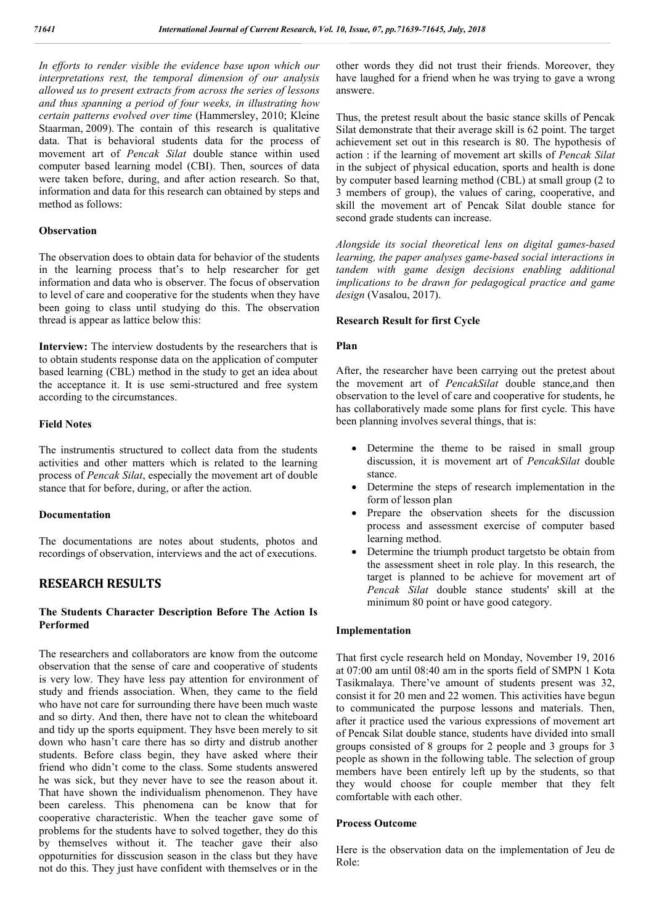*In efforts to render visible the evidence base upon which our interpretations rest, the temporal dimension of our analysis allowed us to present extracts from across the series of lessons and thus spanning a period of four weeks, in illustrating how certain patterns evolved over time* (Hammersley, 2010; Kleine Staarman, 2009). The contain of this research is qualitative data. That is behavioral students data for the process of movement art of *Pencak Silat* double stance within used computer based learning model (CBI). Then, sources of data were taken before, during, and after action research. So that, information and data for this research can obtained by steps and method as follows:

## **Observation**

The observation does to obtain data for behavior of the students in the learning process that's to help researcher for get information and data who is observer. The focus of observation to level of care and cooperative for the students when they have been going to class until studying do this. The observation thread is appear as lattice below this:

**Interview:** The interview dostudents by the researchers that is to obtain students response data on the application of computer based learning (CBL) method in the study to get an idea about the acceptance it. It is use semi-structured and free system according to the circumstances.

## **Field Notes**

The instrumentis structured to collect data from the students activities and other matters which is related to the learning process of *Pencak Silat*, especially the movement art of double stance that for before, during, or after the action.

## **Documentation**

The documentations are notes about students, photos and recordings of observation, interviews and the act of executions.

# **RESEARCH RESULTS**

# **The Students Character Description Before The Action Is Performed**

The researchers and collaborators are know from the outcome observation that the sense of care and cooperative of students is very low. They have less pay attention for environment of study and friends association. When, they came to the field who have not care for surrounding there have been much waste and so dirty. And then, there have not to clean the whiteboard and tidy up the sports equipment. They hsve been merely to sit down who hasn't care there has so dirty and distrub another students. Before class begin, they have asked where their friend who didn't come to the class. Some students answered he was sick, but they never have to see the reason about it. That have shown the individualism phenomenon. They have been careless. This phenomena can be know that for cooperative characteristic. When the teacher gave some of problems for the students have to solved together, they do this by themselves without it. The teacher gave their also oppoturnities for disscusion season in the class but they have not do this. They just have confident with themselves or in the

other words they did not trust their friends. Moreover, they have laughed for a friend when he was trying to gave a wrong answere.

Thus, the pretest result about the basic stance skills of Pencak Silat demonstrate that their average skill is 62 point. The target achievement set out in this research is 80. The hypothesis of action : if the learning of movement art skills of *Pencak Silat* in the subject of physical education, sports and health is done by computer based learning method (CBL) at small group (2 to 3 members of group), the values of caring, cooperative, and skill the movement art of Pencak Silat double stance for second grade students can increase.

*Alongside its social theoretical lens on digital games-based learning, the paper analyses game-based social interactions in tandem with game design decisions enabling additional implications to be drawn for pedagogical practice and game design* (Vasalou, 2017).

# **Research Result for first Cycle**

## **Plan**

After, the researcher have been carrying out the pretest about the movement art of *PencakSilat* double stance,and then observation to the level of care and cooperative for students, he has collaboratively made some plans for first cycle. This have been planning involves several things, that is:

- Determine the theme to be raised in small group discussion, it is movement art of *PencakSilat* double stance.
- Determine the steps of research implementation in the form of lesson plan
- Prepare the observation sheets for the discussion process and assessment exercise of computer based learning method.
- Determine the triumph product targetsto be obtain from the assessment sheet in role play. In this research, the target is planned to be achieve for movement art of *Pencak Silat* double stance students' skill at the minimum 80 point or have good category.

# **Implementation**

That first cycle research held on Monday, November 19, 2016 at 07:00 am until 08:40 am in the sports field of SMPN 1 Kota Tasikmalaya. There've amount of students present was 32, consist it for 20 men and 22 women. This activities have begun to communicated the purpose lessons and materials. Then, after it practice used the various expressions of movement art of Pencak Silat double stance, students have divided into small groups consisted of 8 groups for 2 people and 3 groups for 3 people as shown in the following table. The selection of group members have been entirely left up by the students, so that they would choose for couple member that they felt comfortable with each other.

## **Process Outcome**

Here is the observation data on the implementation of Jeu de Role: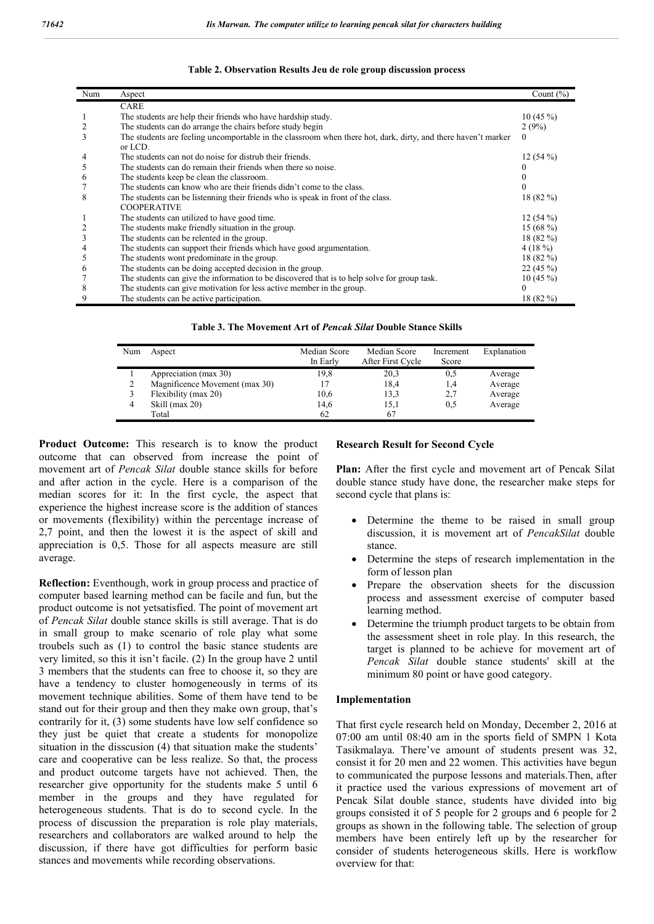| Num | Aspect                                                                                                        | Count $(\% )$ |
|-----|---------------------------------------------------------------------------------------------------------------|---------------|
|     | <b>CARE</b>                                                                                                   |               |
|     | The students are help their friends who have hardship study.                                                  | $10(45\%)$    |
|     | The students can do arrange the chairs before study begin                                                     | 2(9%)         |
| 3   | The students are feeling uncomportable in the classroom when there hot, dark, dirty, and there haven't marker | $\theta$      |
|     | or LCD.                                                                                                       |               |
|     | The students can not do noise for distrub their friends.                                                      | 12(54%)       |
|     | The students can do remain their friends when there so noise.                                                 |               |
| O   | The students keep be clean the classroom.                                                                     |               |
|     | The students can know who are their friends didn't come to the class.                                         |               |
| 8   | The students can be listenning their friends who is speak in front of the class.                              | 18(82%)       |
|     | <b>COOPERATIVE</b>                                                                                            |               |
|     | The students can utilized to have good time.                                                                  | 12(54%)       |
|     | The students make friendly situation in the group.                                                            | 15 $(68\%)$   |
| 3   | The students can be relented in the group.                                                                    | $18(82\%)$    |
|     | The students can support their friends which have good argumentation.                                         | 4(18%)        |
|     | The students wont predominate in the group.                                                                   | $18(82\%)$    |
| 6   | The students can be doing accepted decision in the group.                                                     | 22(45%)       |
|     | The students can give the information to be discovered that is to help solve for group task.                  | $10(45\%)$    |
| 8   | The students can give motivation for less active member in the group.                                         | $\theta$      |
| 9   | The students can be active participation.                                                                     | 18 (82 %)     |

**Table 2. Observation Results Jeu de role group discussion process**

**Table 3. The Movement Art of** *Pencak Silat* **Double Stance Skills**

| Num | Aspect                         | Median Score | Median Score      | Increment | Explanation |
|-----|--------------------------------|--------------|-------------------|-----------|-------------|
|     |                                | In Early     | After First Cycle | Score     |             |
|     | Appreciation (max 30)          | 19,8         | 20,3              | 0.5       | Average     |
| ↑   | Magnificence Movement (max 30) |              | 18,4              | 1,4       | Average     |
|     | Flexibility (max 20)           | 10,6         | 13,3              | 2,7       | Average     |
| 4   | Skill (max 20)                 | 14,6         | 15,1              | 0,5       | Average     |
|     | Total                          | 62           | 67                |           |             |

**Product Outcome:** This research is to know the product outcome that can observed from increase the point of movement art of *Pencak Silat* double stance skills for before and after action in the cycle. Here is a comparison of the median scores for it: In the first cycle, the aspect that experience the highest increase score is the addition of stances or movements (flexibility) within the percentage increase of 2,7 point, and then the lowest it is the aspect of skill and appreciation is 0,5. Those for all aspects measure are still average.

**Reflection:** Eventhough, work in group process and practice of computer based learning method can be facile and fun, but the product outcome is not yetsatisfied. The point of movement art of *Pencak Silat* double stance skills is still average. That is do in small group to make scenario of role play what some troubels such as (1) to control the basic stance students are very limited, so this it isn't facile. (2) In the group have 2 until 3 members that the students can free to choose it, so they are have a tendency to cluster homogeneously in terms of its movement technique abilities. Some of them have tend to be stand out for their group and then they make own group, that's contrarily for it, (3) some students have low self confidence so they just be quiet that create a students for monopolize situation in the disscusion (4) that situation make the students' care and cooperative can be less realize. So that, the process and product outcome targets have not achieved. Then, the researcher give opportunity for the students make 5 until 6 member in the groups and they have regulated for heterogeneous students. That is do to second cycle. In the process of discussion the preparation is role play materials, researchers and collaborators are walked around to help the discussion, if there have got difficulties for perform basic stances and movements while recording observations.

#### **Research Result for Second Cycle**

**Plan:** After the first cycle and movement art of Pencak Silat double stance study have done, the researcher make steps for second cycle that plans is:

- Determine the theme to be raised in small group discussion, it is movement art of *PencakSilat* double stance.
- Determine the steps of research implementation in the form of lesson plan
- Prepare the observation sheets for the discussion process and assessment exercise of computer based learning method.
- Determine the triumph product targets to be obtain from the assessment sheet in role play. In this research, the target is planned to be achieve for movement art of *Pencak Silat* double stance students' skill at the minimum 80 point or have good category.

#### **Implementation**

That first cycle research held on Monday, December 2, 2016 at 07:00 am until 08:40 am in the sports field of SMPN 1 Kota Tasikmalaya. There've amount of students present was 32, consist it for 20 men and 22 women. This activities have begun to communicated the purpose lessons and materials.Then, after it practice used the various expressions of movement art of Pencak Silat double stance, students have divided into big groups consisted it of 5 people for 2 groups and 6 people for 2 groups as shown in the following table. The selection of group members have been entirely left up by the researcher for consider of students heterogeneous skills. Here is workflow overview for that: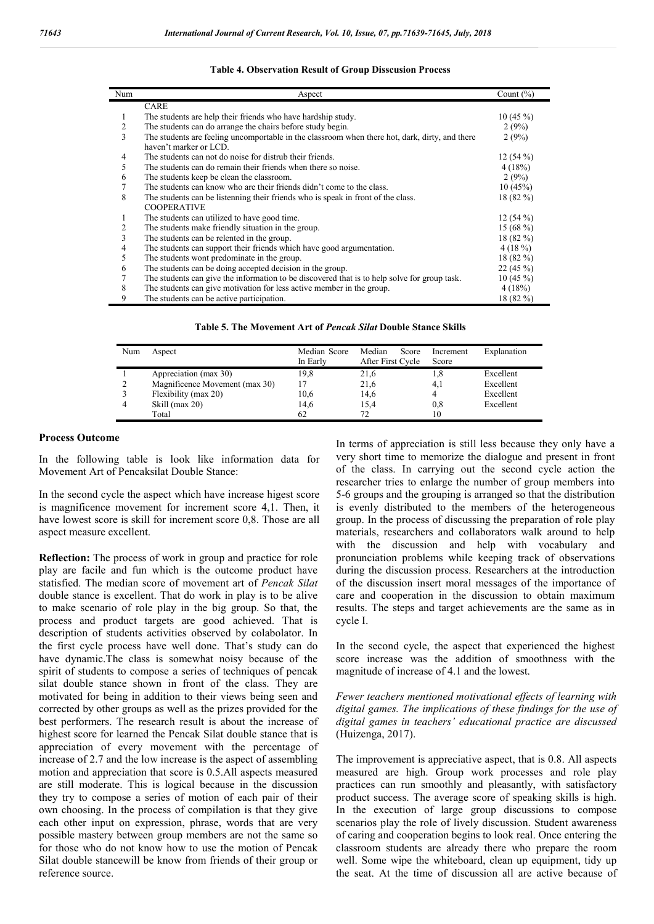| Num | Aspect                                                                                         | Count $(\% )$ |
|-----|------------------------------------------------------------------------------------------------|---------------|
|     | <b>CARE</b>                                                                                    |               |
| 1   | The students are help their friends who have hardship study.                                   | 10(45%)       |
| 2   | The students can do arrange the chairs before study begin.                                     | 2(9%)         |
| 3   | The students are feeling uncomportable in the classroom when there hot, dark, dirty, and there | 2(9%)         |
|     | haven't marker or LCD.                                                                         |               |
| 4   | The students can not do noise for distrub their friends.                                       | 12(54%)       |
| 5   | The students can do remain their friends when there so noise.                                  | 4(18%)        |
| 6   | The students keep be clean the classroom.                                                      | 2(9%)         |
|     | The students can know who are their friends didn't come to the class.                          | 10(45%)       |
| 8   | The students can be listenning their friends who is speak in front of the class.               | $18(82\%)$    |
|     | <b>COOPERATIVE</b>                                                                             |               |
|     | The students can utilized to have good time.                                                   | $12(54\%)$    |
| 2   | The students make friendly situation in the group.                                             | 15 $(68\%)$   |
| 3   | The students can be relented in the group.                                                     | $18(82\%)$    |
| 4   | The students can support their friends which have good argumentation.                          | 4(18%)        |
| 5   | The students wont predominate in the group.                                                    | $18(82\%)$    |
| 6   | The students can be doing accepted decision in the group.                                      | 22(45%)       |
|     | The students can give the information to be discovered that is to help solve for group task.   | $10(45\%)$    |
| 8   | The students can give motivation for less active member in the group.                          | 4(18%)        |
| 9   | The students can be active participation.                                                      | 18 (82 %)     |

## **Table 4. Observation Result of Group Disscusion Process**

**Table 5. The Movement Art of** *Pencak Silat* **Double Stance Skills**

| Num | Aspect                         | Median Score | Median<br>Score   | Increment | Explanation |
|-----|--------------------------------|--------------|-------------------|-----------|-------------|
|     |                                | In Early     | After First Cycle | Score     |             |
|     | Appreciation (max 30)          | 19.8         | 21,6              | 1.8       | Excellent   |
|     | Magnificence Movement (max 30) | 17           | 21,6              | 4,1       | Excellent   |
|     | Flexibility (max 20)           | 10,6         | 14,6              | 4         | Excellent   |
|     | Skill (max 20)                 | 14.6         | 15,4              | 0,8       | Excellent   |
|     | Total                          | 62           | 72.               | 10        |             |

# **Process Outcome**

In the following table is look like information data for Movement Art of Pencaksilat Double Stance:

In the second cycle the aspect which have increase higest score is magnificence movement for increment score 4,1. Then, it have lowest score is skill for increment score 0,8. Those are all aspect measure excellent.

**Reflection:** The process of work in group and practice for role play are facile and fun which is the outcome product have statisfied. The median score of movement art of *Pencak Silat*  double stance is excellent. That do work in play is to be alive to make scenario of role play in the big group. So that, the process and product targets are good achieved. That is description of students activities observed by colabolator. In the first cycle process have well done. That's study can do have dynamic.The class is somewhat noisy because of the spirit of students to compose a series of techniques of pencak silat double stance shown in front of the class. They are motivated for being in addition to their views being seen and corrected by other groups as well as the prizes provided for the best performers. The research result is about the increase of highest score for learned the Pencak Silat double stance that is appreciation of every movement with the percentage of increase of 2.7 and the low increase is the aspect of assembling motion and appreciation that score is 0.5.All aspects measured are still moderate. This is logical because in the discussion they try to compose a series of motion of each pair of their own choosing. In the process of compilation is that they give each other input on expression, phrase, words that are very possible mastery between group members are not the same so for those who do not know how to use the motion of Pencak Silat double stancewill be know from friends of their group or reference source.

In terms of appreciation is still less because they only have a very short time to memorize the dialogue and present in front of the class. In carrying out the second cycle action the researcher tries to enlarge the number of group members into 5-6 groups and the grouping is arranged so that the distribution is evenly distributed to the members of the heterogeneous group. In the process of discussing the preparation of role play materials, researchers and collaborators walk around to help with the discussion and help with vocabulary and pronunciation problems while keeping track of observations during the discussion process. Researchers at the introduction of the discussion insert moral messages of the importance of care and cooperation in the discussion to obtain maximum results. The steps and target achievements are the same as in cycle I.

In the second cycle, the aspect that experienced the highest score increase was the addition of smoothness with the magnitude of increase of 4.1 and the lowest.

*Fewer teachers mentioned motivational effects of learning with digital games. The implications of these findings for the use of digital games in teachers' educational practice are discussed*  (Huizenga, 2017).

The improvement is appreciative aspect, that is 0.8. All aspects measured are high. Group work processes and role play practices can run smoothly and pleasantly, with satisfactory product success. The average score of speaking skills is high. In the execution of large group discussions to compose scenarios play the role of lively discussion. Student awareness of caring and cooperation begins to look real. Once entering the classroom students are already there who prepare the room well. Some wipe the whiteboard, clean up equipment, tidy up the seat. At the time of discussion all are active because of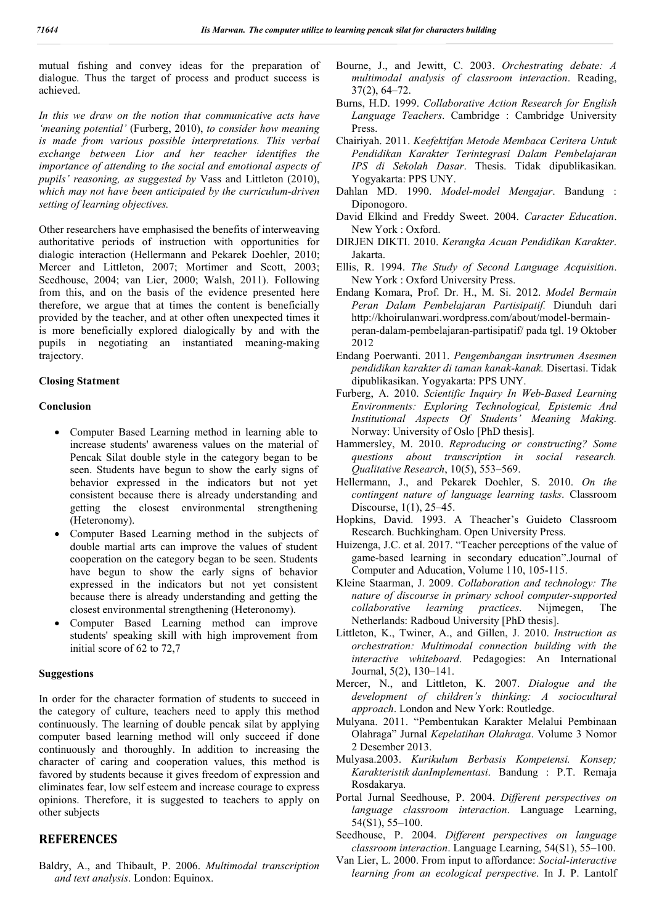mutual fishing and convey ideas for the preparation of dialogue. Thus the target of process and product success is achieved.

*In this we draw on the notion that communicative acts have 'meaning potential'* (Furberg, 2010), *to consider how meaning is made from various possible interpretations. This verbal exchange between Lior and her teacher identifies the importance of attending to the social and emotional aspects of pupils' reasoning, as suggested by* Vass and Littleton (2010), *which may not have been anticipated by the curriculum-driven setting of learning objectives.*

Other researchers have emphasised the benefits of interweaving authoritative periods of instruction with opportunities for dialogic interaction (Hellermann and Pekarek Doehler, 2010; Mercer and Littleton, 2007; Mortimer and Scott, 2003; Seedhouse, 2004; van Lier, 2000; Walsh, 2011). Following from this, and on the basis of the evidence presented here therefore, we argue that at times the content is beneficially provided by the teacher, and at other often unexpected times it is more beneficially explored dialogically by and with the pupils in negotiating an instantiated meaning-making trajectory.

## **Closing Statment**

# **Conclusion**

- Computer Based Learning method in learning able to increase students' awareness values on the material of Pencak Silat double style in the category began to be seen. Students have begun to show the early signs of behavior expressed in the indicators but not yet consistent because there is already understanding and getting the closest environmental strengthening (Heteronomy).
- Computer Based Learning method in the subjects of double martial arts can improve the values of student cooperation on the category began to be seen. Students have begun to show the early signs of behavior expressed in the indicators but not yet consistent because there is already understanding and getting the closest environmental strengthening (Heteronomy).
- Computer Based Learning method can improve students' speaking skill with high improvement from initial score of 62 to 72,7

## **Suggestions**

In order for the character formation of students to succeed in the category of culture, teachers need to apply this method continuously. The learning of double pencak silat by applying computer based learning method will only succeed if done continuously and thoroughly. In addition to increasing the character of caring and cooperation values, this method is favored by students because it gives freedom of expression and eliminates fear, low self esteem and increase courage to express opinions. Therefore, it is suggested to teachers to apply on other subjects

# **REFERENCES**

Baldry, A., and Thibault, P. 2006. *Multimodal transcription and text analysis*. London: Equinox.

- Bourne, J., and Jewitt, C. 2003. *Orchestrating debate: A multimodal analysis of classroom interaction*. Reading, 37(2), 64–72.
- Burns, H.D. 1999. *Collaborative Action Research for English Language Teachers*. Cambridge : Cambridge University Press.
- Chairiyah. 2011. *Keefektifan Metode Membaca Ceritera Untuk Pendidikan Karakter Terintegrasi Dalam Pembelajaran IPS di Sekolah Dasar*. Thesis. Tidak dipublikasikan. Yogyakarta: PPS UNY.
- Dahlan MD. 1990. *Model-model Mengajar*. Bandung : Diponogoro.
- David Elkind and Freddy Sweet. 2004. *Caracter Education*. New York : Oxford.
- DIRJEN DIKTI. 2010. *Kerangka Acuan Pendidikan Karakter*. Jakarta.
- Ellis, R. 1994. *The Study of Second Language Acquisition*. New York : Oxford University Press.
- Endang Komara, Prof. Dr. H., M. Si. 2012. *Model Bermain Peran Dalam Pembelajaran Partisipatif.* Diunduh dari http://khoirulanwari.wordpress.com/about/model-bermainperan-dalam-pembelajaran-partisipatif/ pada tgl. 19 Oktober 2012
- Endang Poerwanti. 2011. *Pengembangan insrtrumen Asesmen pendidikan karakter di taman kanak-kanak.* Disertasi. Tidak dipublikasikan. Yogyakarta: PPS UNY.
- Furberg, A. 2010. *Scientific Inquiry In Web-Based Learning Environments: Exploring Technological, Epistemic And Institutional Aspects Of Students' Meaning Making.* Norway: University of Oslo [PhD thesis].
- Hammersley, M. 2010. *Reproducing or constructing? Some questions about transcription in social research. Qualitative Research*, 10(5), 553–569.
- Hellermann, J., and Pekarek Doehler, S. 2010. *On the contingent nature of language learning tasks*. Classroom Discourse, 1(1), 25–45.
- Hopkins, David. 1993. A Theacher's Guideto Classroom Research. Buchkingham. Open University Press.
- Huizenga, J.C. et al. 2017. "Teacher perceptions of the value of game-based learning in secondary education".Journal of Computer and Aducation, Volume 110, 105-115.
- Kleine Staarman, J. 2009. *Collaboration and technology: The nature of discourse in primary school computer-supported collaborative learning practices*. Nijmegen, The Netherlands: Radboud University [PhD thesis].
- Littleton, K., Twiner, A., and Gillen, J. 2010. *Instruction as orchestration: Multimodal connection building with the interactive whiteboard*. Pedagogies: An International Journal, 5(2), 130–141.
- Mercer, N., and Littleton, K. 2007. *Dialogue and the development of children's thinking: A sociocultural approach*. London and New York: Routledge.
- Mulyana. 2011. "Pembentukan Karakter Melalui Pembinaan Olahraga" Jurnal *Kepelatihan Olahraga*. Volume 3 Nomor 2 Desember 2013.
- Mulyasa.2003. *Kurikulum Berbasis Kompetensi. Konsep; Karakteristik danImplementasi*. Bandung : P.T. Remaja Rosdakarya.
- Portal Jurnal Seedhouse, P. 2004. *Different perspectives on language classroom interaction*. Language Learning, 54(S1), 55–100.
- Seedhouse, P. 2004. *Different perspectives on language classroom interaction*. Language Learning, 54(S1), 55–100.
- Van Lier, L. 2000. From input to affordance: *Social-interactive learning from an ecological perspective*. In J. P. Lantolf